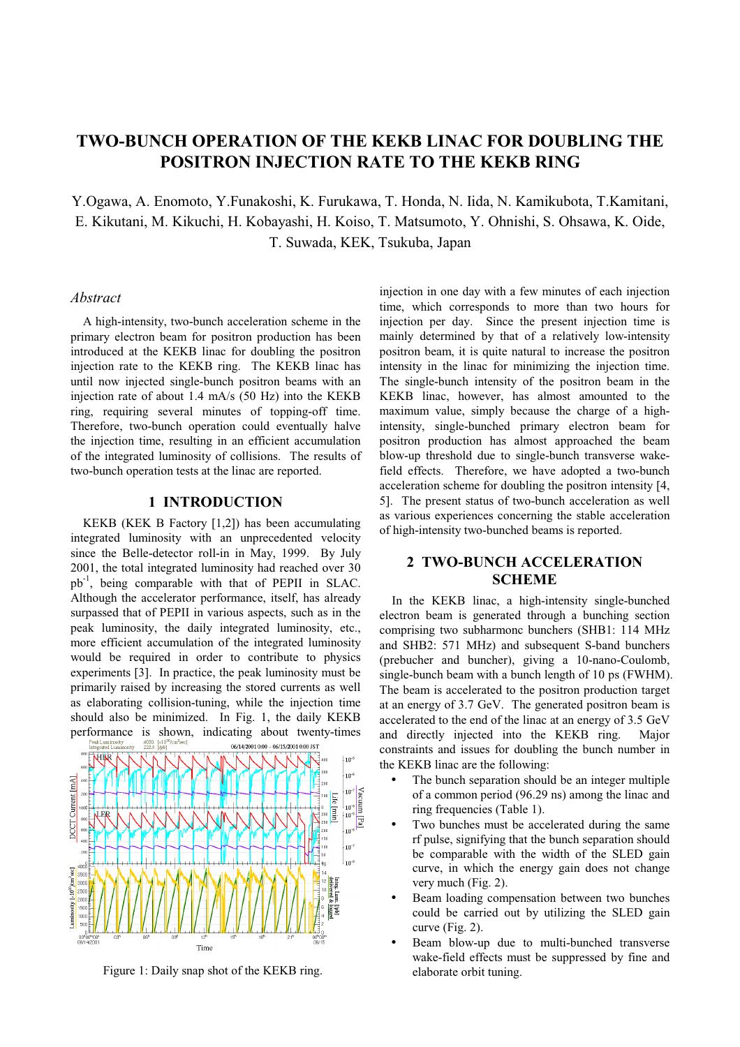# **TWO-BUNCH OPERATION OF THE KEKB LINAC FOR DOUBLING THE POSITRON INJECTION RATE TO THE KEKB RING**

Y.Ogawa, A. Enomoto, Y.Funakoshi, K. Furukawa, T. Honda, N. Iida, N. Kamikubota, T.Kamitani, E. Kikutani, M. Kikuchi, H. Kobayashi, H. Koiso, T. Matsumoto, Y. Ohnishi, S. Ohsawa, K. Oide, T. Suwada, KEK, Tsukuba, Japan

#### *Abstract*

A high-intensity, two-bunch acceleration scheme in the primary electron beam for positron production has been introduced at the KEKB linac for doubling the positron injection rate to the KEKB ring. The KEKB linac has until now injected single-bunch positron beams with an injection rate of about 1.4 mA/s (50 Hz) into the KEKB ring, requiring several minutes of topping-off time. Therefore, two-bunch operation could eventually halve the injection time, resulting in an efficient accumulation of the integrated luminosity of collisions. The results of two-bunch operation tests at the linac are reported.

#### **1 INTRODUCTION**

KEKB (KEK B Factory [1,2]) has been accumulating integrated luminosity with an unprecedented velocity since the Belle-detector roll-in in May, 1999. By July 2001, the total integrated luminosity had reached over 30 pb-1, being comparable with that of PEPII in SLAC. Although the accelerator performance, itself, has already surpassed that of PEPII in various aspects, such as in the peak luminosity, the daily integrated luminosity, etc., more efficient accumulation of the integrated luminosity would be required in order to contribute to physics experiments [3]. In practice, the peak luminosity must be primarily raised by increasing the stored currents as well as elaborating collision-tuning, while the injection time should also be minimized. In Fig. 1, the daily KEKB performance is shown, indicating about twenty-times



Figure 1: Daily snap shot of the KEKB ring. elaborate orbit tuning.

injection in one day with a few minutes of each injection time, which corresponds to more than two hours for injection per day. Since the present injection time is mainly determined by that of a relatively low-intensity positron beam, it is quite natural to increase the positron intensity in the linac for minimizing the injection time. The single-bunch intensity of the positron beam in the KEKB linac, however, has almost amounted to the maximum value, simply because the charge of a highintensity, single-bunched primary electron beam for positron production has almost approached the beam blow-up threshold due to single-bunch transverse wakefield effects. Therefore, we have adopted a two-bunch acceleration scheme for doubling the positron intensity [4, 5]. The present status of two-bunch acceleration as well as various experiences concerning the stable acceleration of high-intensity two-bunched beams is reported.

## **2 TWO-BUNCH ACCELERATION SCHEME**

In the KEKB linac, a high-intensity single-bunched electron beam is generated through a bunching section comprising two subharmonc bunchers (SHB1: 114 MHz and SHB2: 571 MHz) and subsequent S-band bunchers (prebucher and buncher), giving a 10-nano-Coulomb, single-bunch beam with a bunch length of 10 ps (FWHM). The beam is accelerated to the positron production target at an energy of 3.7 GeV. The generated positron beam is accelerated to the end of the linac at an energy of 3.5 GeV and directly injected into the KEKB ring. Major constraints and issues for doubling the bunch number in the KEKB linac are the following:

- The bunch separation should be an integer multiple of a common period (96.29 ns) among the linac and ring frequencies (Table 1).
- Two bunches must be accelerated during the same rf pulse, signifying that the bunch separation should be comparable with the width of the SLED gain curve, in which the energy gain does not change very much (Fig. 2).
- Beam loading compensation between two bunches could be carried out by utilizing the SLED gain curve (Fig. 2).
- Beam blow-up due to multi-bunched transverse wake-field effects must be suppressed by fine and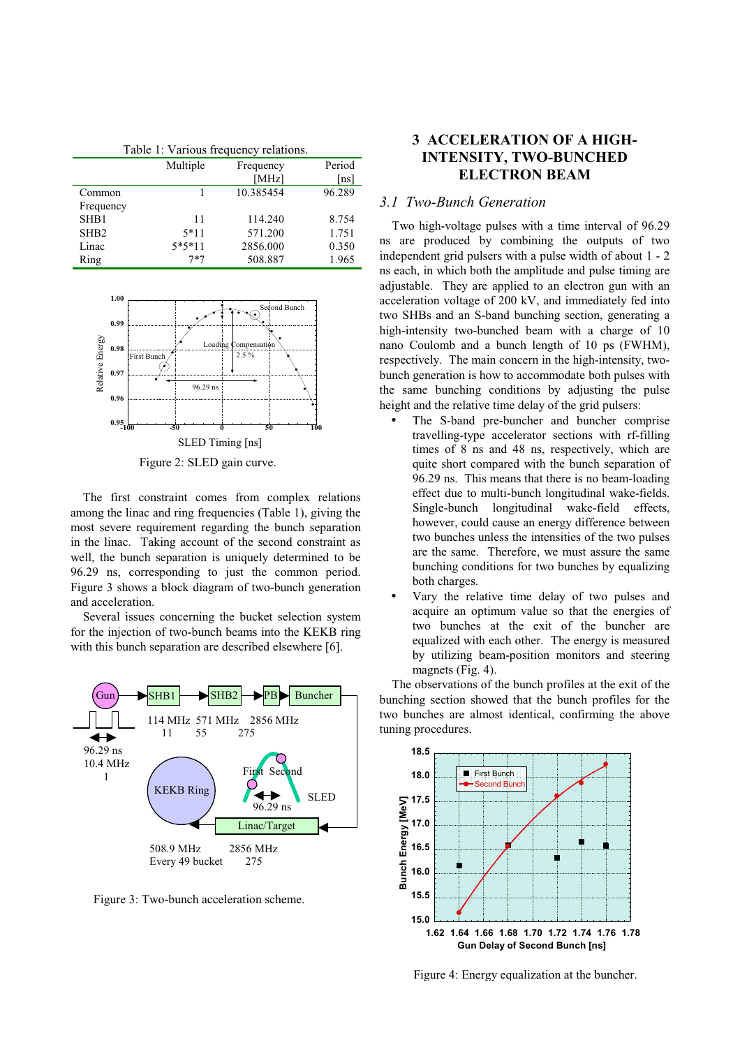| Table 1: Various frequency relations. |          |           |        |
|---------------------------------------|----------|-----------|--------|
|                                       | Multiple | Frequency | Period |
|                                       |          | [ $MHz$ ] | [ns]   |
| Common                                |          | 10.385454 | 96.289 |
| Frequency                             |          |           |        |
| SHB1                                  | 11       | 114.240   | 8.754  |
| SH <sub>B2</sub>                      | $5*11$   | 571.200   | 1.751  |
| Linac                                 | $5*5*11$ | 2856.000  | 0.350  |
| Ring                                  | $7*7$    | 508.887   | 1.965  |



Figure 2: SLED gain curve.

The first constraint comes from complex relations among the linac and ring frequencies (Table 1), giving the most severe requirement regarding the bunch separation in the linac. Taking account of the second constraint as well, the bunch separation is uniquely determined to be 96.29 ns, corresponding to just the common period. Figure 3 shows a block diagram of two-bunch generation and acceleration.

Several issues concerning the bucket selection system for the injection of two-bunch beams into the KEKB ring with this bunch separation are described elsewhere [6].



Figure 3: Two-bunch acceleration scheme.

# **3 ACCELERATION OF A HIGH-INTENSITY, TWO-BUNCHED ELECTRON BEAM**

## *3.1 Two-Bunch Generation*

Two high-voltage pulses with a time interval of 96.29 ns are produced by combining the outputs of two independent grid pulsers with a pulse width of about 1 - 2 ns each, in which both the amplitude and pulse timing are adjustable. They are applied to an electron gun with an acceleration voltage of 200 kV, and immediately fed into two SHBs and an S-band bunching section, generating a high-intensity two-bunched beam with a charge of 10 nano Coulomb and a bunch length of 10 ps (FWHM), respectively. The main concern in the high-intensity, twobunch generation is how to accommodate both pulses with the same bunching conditions by adjusting the pulse height and the relative time delay of the grid pulsers:

- The S-band pre-buncher and buncher comprise travelling-type accelerator sections with rf-filling times of 8 ns and 48 ns, respectively, which are quite short compared with the bunch separation of 96.29 ns. This means that there is no beam-loading effect due to multi-bunch longitudinal wake-fields. Single-bunch longitudinal wake-field effects, however, could cause an energy difference between two bunches unless the intensities of the two pulses are the same. Therefore, we must assure the same bunching conditions for two bunches by equalizing both charges.
- Vary the relative time delay of two pulses and acquire an optimum value so that the energies of two bunches at the exit of the buncher are equalized with each other. The energy is measured by utilizing beam-position monitors and steering magnets (Fig. 4).

The observations of the bunch profiles at the exit of the bunching section showed that the bunch profiles for the two bunches are almost identical, confirming the above tuning procedures.



Figure 4: Energy equalization at the buncher.